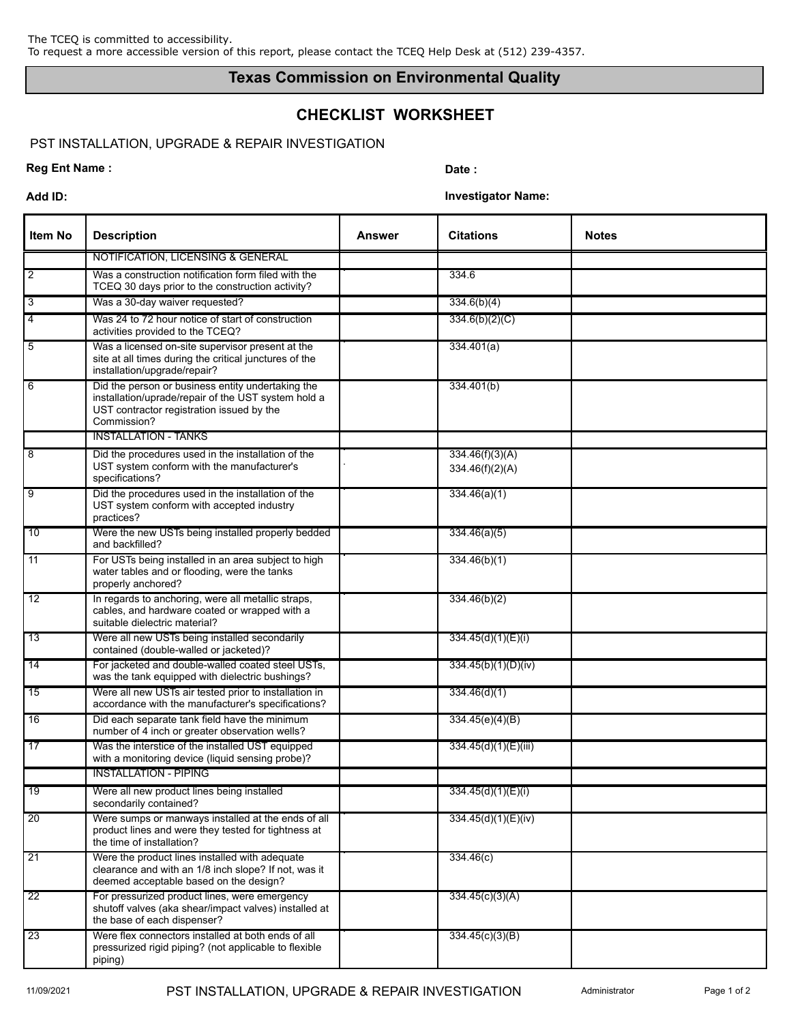## **Texas Commission on Environmental Quality**

# **CHECKLIST WORKSHEET**

## PST INSTALLATION, UPGRADE & REPAIR INVESTIGATION

### **Reg Ent Name :** Date :

**Add ID: Investigator Name:**

| <b>Item No</b>  | <b>Description</b>                                                                                                                                                   | <b>Answer</b> | <b>Citations</b>                   | <b>Notes</b> |
|-----------------|----------------------------------------------------------------------------------------------------------------------------------------------------------------------|---------------|------------------------------------|--------------|
|                 | NOTIFICATION, LICENSING & GENERAL                                                                                                                                    |               |                                    |              |
| $\overline{2}$  | Was a construction notification form filed with the<br>TCEQ 30 days prior to the construction activity?                                                              |               | 334.6                              |              |
| $\overline{3}$  | Was a 30-day waiver requested?                                                                                                                                       |               | 334.6(b)(4)                        |              |
| $\overline{4}$  | Was 24 to 72 hour notice of start of construction<br>activities provided to the TCEQ?                                                                                |               | 334.6(b)(2)(C)                     |              |
| $5\overline{5}$ | Was a licensed on-site supervisor present at the<br>site at all times during the critical junctures of the<br>installation/upgrade/repair?                           |               | 334.401(a)                         |              |
| $\overline{6}$  | Did the person or business entity undertaking the<br>installation/uprade/repair of the UST system hold a<br>UST contractor registration issued by the<br>Commission? |               | 334.401(b)                         |              |
|                 | <b>INSTALLATION - TANKS</b>                                                                                                                                          |               |                                    |              |
| $\overline{8}$  | Did the procedures used in the installation of the<br>UST system conform with the manufacturer's<br>specifications?                                                  |               | 334.46(f)(3)(A)<br>334.46(f)(2)(A) |              |
| $\overline{9}$  | Did the procedures used in the installation of the<br>UST system conform with accepted industry<br>practices?                                                        |               | 334.46(a)(1)                       |              |
| 10              | Were the new USTs being installed properly bedded<br>and backfilled?                                                                                                 |               | 334.46(a)(5)                       |              |
| $\overline{11}$ | For USTs being installed in an area subject to high<br>water tables and or flooding, were the tanks<br>properly anchored?                                            |               | 334.46(b)(1)                       |              |
| $\overline{12}$ | In regards to anchoring, were all metallic straps,<br>cables, and hardware coated or wrapped with a<br>suitable dielectric material?                                 |               | 334.46(b)(2)                       |              |
| 13              | Were all new USTs being installed secondarily<br>contained (double-walled or jacketed)?                                                                              |               | 334.45(d)(1)(E)(i)                 |              |
| $\overline{14}$ | For jacketed and double-walled coated steel USTs,<br>was the tank equipped with dielectric bushings?                                                                 |               | 334.45(b)(1)(D)(iv)                |              |
| 15              | Were all new USTs air tested prior to installation in<br>accordance with the manufacturer's specifications?                                                          |               | 334.46(d)(1)                       |              |
| 16              | Did each separate tank field have the minimum<br>number of 4 inch or greater observation wells?                                                                      |               | 334.45(e)(4)(B)                    |              |
| 17              | Was the interstice of the installed UST equipped<br>with a monitoring device (liquid sensing probe)?                                                                 |               | 334.45(d)(1)(E)(iii)               |              |
|                 | <b>INSTALLATION - PIPING</b>                                                                                                                                         |               |                                    |              |
| 19              | Were all new product lines being installed<br>secondarily contained?                                                                                                 |               | 334.45(d)(1)(E)(i)                 |              |
| $\overline{20}$ | Were sumps or manways installed at the ends of all<br>product lines and were they tested for tightness at<br>the time of installation?                               |               | 334.45(d)(1)(E)(iv)                |              |
| $\overline{21}$ | Were the product lines installed with adequate<br>clearance and with an 1/8 inch slope? If not, was it<br>deemed acceptable based on the design?                     |               | 334.46(c)                          |              |
| 22              | For pressurized product lines, were emergency<br>shutoff valves (aka shear/impact valves) installed at<br>the base of each dispenser?                                |               | 334.45(c)(3)(A)                    |              |
| 23              | Were flex connectors installed at both ends of all<br>pressurized rigid piping? (not applicable to flexible<br>piping)                                               |               | 334.45(c)(3)(B)                    |              |